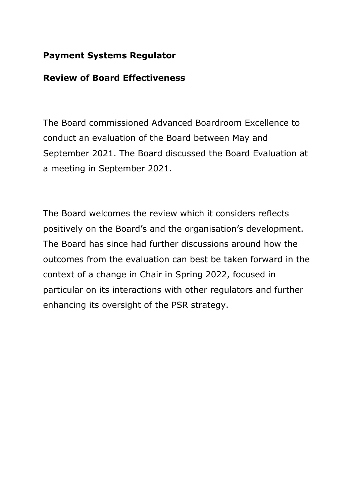# **Payment Systems Regulator**

# **Review of Board Effectiveness**

The Board commissioned Advanced Boardroom Excellence to conduct an evaluation of the Board between May and September 2021. The Board discussed the Board Evaluation at a meeting in September 2021.

The Board welcomes the review which it considers reflects positively on the Board's and the organisation's development. The Board has since had further discussions around how the outcomes from the evaluation can best be taken forward in the context of a change in Chair in Spring 2022, focused in particular on its interactions with other regulators and further enhancing its oversight of the PSR strategy.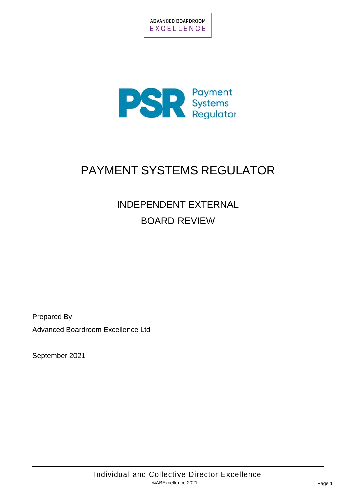

# PAYMENT SYSTEMS REGULATOR

# INDEPENDENT EXTERNAL BOARD REVIEW

Prepared By:

Advanced Boardroom Excellence Ltd

September 2021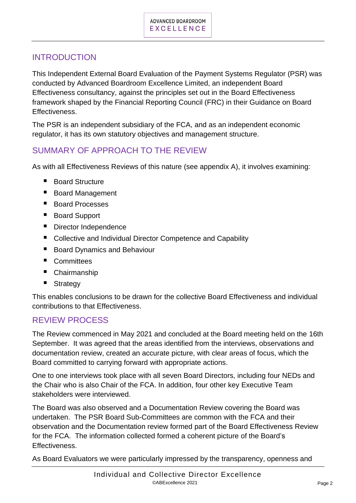## INTRODUCTION

This Independent External Board Evaluation of the Payment Systems Regulator (PSR) was conducted by Advanced Boardroom Excellence Limited, an independent Board Effectiveness consultancy, against the principles set out in the Board Effectiveness framework shaped by the Financial Reporting Council (FRC) in their Guidance on Board Effectiveness.

The PSR is an independent subsidiary of the FCA, and as an independent economic regulator, it has its own statutory objectives and management structure.

# SUMMARY OF APPROACH TO THE REVIEW

As with all Effectiveness Reviews of this nature (see appendix A), it involves examining:

- Board Structure
- Board Management
- Board Processes
- Board Support
- Director Independence
- Collective and Individual Director Competence and Capability
- Board Dynamics and Behaviour
- Committees
- Chairmanship
- Strategy

This enables conclusions to be drawn for the collective Board Effectiveness and individual contributions to that Effectiveness.

## REVIEW PROCESS

The Review commenced in May 2021 and concluded at the Board meeting held on the 16th September. It was agreed that the areas identified from the interviews, observations and documentation review, created an accurate picture, with clear areas of focus, which the Board committed to carrying forward with appropriate actions.

One to one interviews took place with all seven Board Directors, including four NEDs and the Chair who is also Chair of the FCA. In addition, four other key Executive Team stakeholders were interviewed.

The Board was also observed and a Documentation Review covering the Board was undertaken. The PSR Board Sub-Committees are common with the FCA and their observation and the Documentation review formed part of the Board Effectiveness Review for the FCA. The information collected formed a coherent picture of the Board's Effectiveness.

As Board Evaluators we were particularly impressed by the transparency, openness and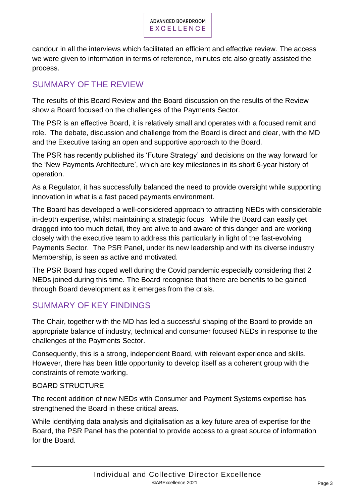candour in all the interviews which facilitated an efficient and effective review. The access we were given to information in terms of reference, minutes etc also greatly assisted the process.

# SUMMARY OF THE REVIEW

The results of this Board Review and the Board discussion on the results of the Review show a Board focused on the challenges of the Payments Sector.

The PSR is an effective Board, it is relatively small and operates with a focused remit and role. The debate, discussion and challenge from the Board is direct and clear, with the MD and the Executive taking an open and supportive approach to the Board.

The PSR has recently published its 'Future Strategy' and decisions on the way forward for the 'New Payments Architecture', which are key milestones in its short 6-year history of operation.

As a Regulator, it has successfully balanced the need to provide oversight while supporting innovation in what is a fast paced payments environment.

The Board has developed a well-considered approach to attracting NEDs with considerable in-depth expertise, whilst maintaining a strategic focus. While the Board can easily get dragged into too much detail, they are alive to and aware of this danger and are working closely with the executive team to address this particularly in light of the fast-evolving Payments Sector. The PSR Panel, under its new leadership and with its diverse industry Membership, is seen as active and motivated.

The PSR Board has coped well during the Covid pandemic especially considering that 2 NEDs joined during this time. The Board recognise that there are benefits to be gained through Board development as it emerges from the crisis.

## SUMMARY OF KEY FINDINGS

The Chair, together with the MD has led a successful shaping of the Board to provide an appropriate balance of industry, technical and consumer focused NEDs in response to the challenges of the Payments Sector.

Consequently, this is a strong, independent Board, with relevant experience and skills. However, there has been little opportunity to develop itself as a coherent group with the constraints of remote working.

#### BOARD STRUCTURE

The recent addition of new NEDs with Consumer and Payment Systems expertise has strengthened the Board in these critical areas.

While identifying data analysis and digitalisation as a key future area of expertise for the Board, the PSR Panel has the potential to provide access to a great source of information for the Board.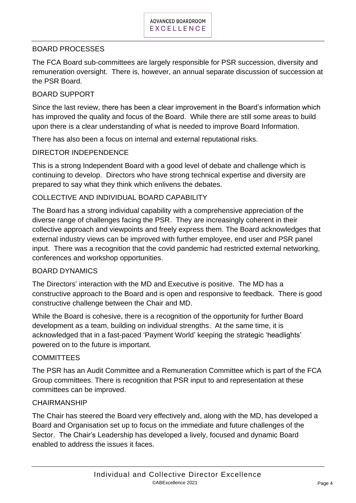#### BOARD PROCESSES

The FCA Board sub-committees are largely responsible for PSR succession, diversity and remuneration oversight. There is, however, an annual separate discussion of succession at the PSR Board.

#### BOARD SUPPORT

Since the last review, there has been a clear improvement in the Board's information which has improved the quality and focus of the Board. While there are still some areas to build upon there is a clear understanding of what is needed to improve Board Information.

There has also been a focus on internal and external reputational risks.

#### DIRECTOR INDEPENDENCE

This is a strong Independent Board with a good level of debate and challenge which is continuing to develop. Directors who have strong technical expertise and diversity are prepared to say what they think which enlivens the debates.

#### COLLECTIVE AND INDIVIDUAL BOARD CAPABILITY

The Board has a strong individual capability with a comprehensive appreciation of the diverse range of challenges facing the PSR. They are increasingly coherent in their collective approach and viewpoints and freely express them. The Board acknowledges that external industry views can be improved with further employee, end user and PSR panel input. There was a recognition that the covid pandemic had restricted external networking, conferences and workshop opportunities.

#### BOARD DYNAMICS

The Directors' interaction with the MD and Executive is positive. The MD has a constructive approach to the Board and is open and responsive to feedback. There is good constructive challenge between the Chair and MD.

While the Board is cohesive, there is a recognition of the opportunity for further Board development as a team, building on individual strengths. At the same time, it is acknowledged that in a fast-paced 'Payment World' keeping the strategic 'headlights' powered on to the future is important.

#### **COMMITTEES**

The PSR has an Audit Committee and a Remuneration Committee which is part of the FCA Group committees. There is recognition that PSR input to and representation at these committees can be improved.

#### **CHAIRMANSHIP**

The Chair has steered the Board very effectively and, along with the MD, has developed a Board and Organisation set up to focus on the immediate and future challenges of the Sector. The Chair's Leadership has developed a lively, focused and dynamic Board enabled to address the issues it faces.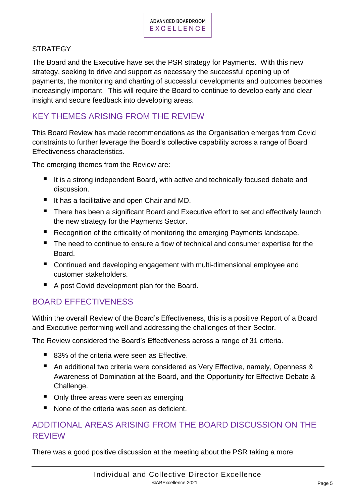#### **STRATEGY**

The Board and the Executive have set the PSR strategy for Payments. With this new strategy, seeking to drive and support as necessary the successful opening up of payments, the monitoring and charting of successful developments and outcomes becomes increasingly important. This will require the Board to continue to develop early and clear insight and secure feedback into developing areas.

## KEY THEMES ARISING FROM THE REVIEW

This Board Review has made recommendations as the Organisation emerges from Covid constraints to further leverage the Board's collective capability across a range of Board Effectiveness characteristics.

The emerging themes from the Review are:

- It is a strong independent Board, with active and technically focused debate and discussion.
- It has a facilitative and open Chair and MD.
- There has been a significant Board and Executive effort to set and effectively launch the new strategy for the Payments Sector.
- Recognition of the criticality of monitoring the emerging Payments landscape.
- The need to continue to ensure a flow of technical and consumer expertise for the Board.
- Continued and developing engagement with multi-dimensional employee and customer stakeholders.
- A post Covid development plan for the Board.

## BOARD EFFECTIVENESS

Within the overall Review of the Board's Effectiveness, this is a positive Report of a Board and Executive performing well and addressing the challenges of their Sector.

The Review considered the Board's Effectiveness across a range of 31 criteria.

- 83% of the criteria were seen as Effective.
- An additional two criteria were considered as Very Effective, namely, Openness & Awareness of Domination at the Board, and the Opportunity for Effective Debate & Challenge.
- Only three areas were seen as emerging
- None of the criteria was seen as deficient.

# ADDITIONAL AREAS ARISING FROM THE BOARD DISCUSSION ON THE REVIEW

There was a good positive discussion at the meeting about the PSR taking a more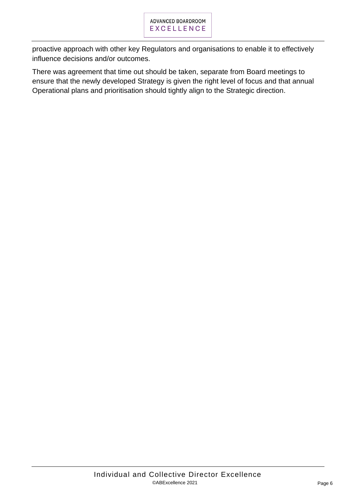proactive approach with other key Regulators and organisations to enable it to effectively influence decisions and/or outcomes.

There was agreement that time out should be taken, separate from Board meetings to ensure that the newly developed Strategy is given the right level of focus and that annual Operational plans and prioritisation should tightly align to the Strategic direction.